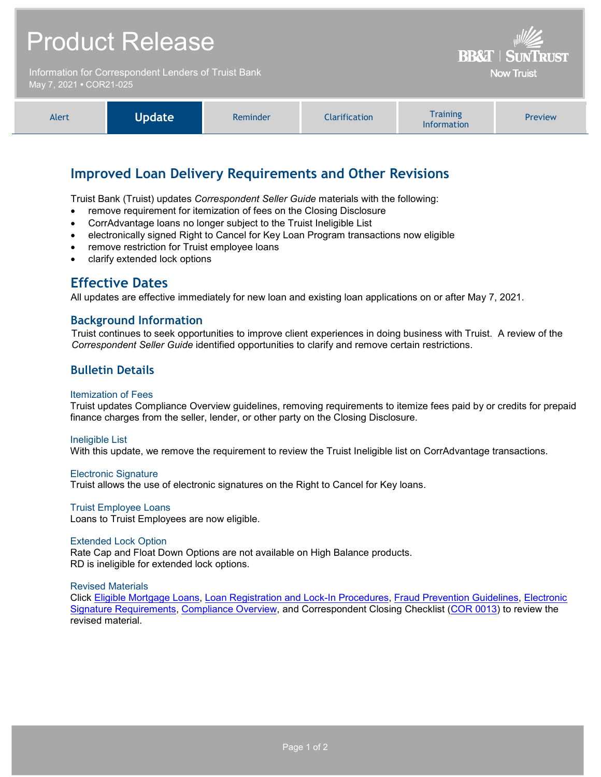# Product Release

Information for Correspondent Lenders of Truist Bank May 7, 2021 **•** COR21-025



**BB&T | SUN** 

**Now Truist** 

# **Improved Loan Delivery Requirements and Other Revisions**

Truist Bank (Truist) updates *Correspondent Seller Guide* materials with the following:

- remove requirement for itemization of fees on the Closing Disclosure
- CorrAdvantage loans no longer subject to the Truist Ineligible List
- electronically signed Right to Cancel for Key Loan Program transactions now eligible
- remove restriction for Truist employee loans
- clarify extended lock options

# **Effective Dates**

All updates are effective immediately for new loan and existing loan applications on or after May 7, 2021.

### **Background Information**

Truist continues to seek opportunities to improve client experiences in doing business with Truist. A review of the *Correspondent Seller Guide* identified opportunities to clarify and remove certain restrictions.

### **Bulletin Details**

#### Itemization of Fees

Truist updates Compliance Overview guidelines, removing requirements to itemize fees paid by or credits for prepaid finance charges from the seller, lender, or other party on the Closing Disclosure.

#### Ineligible List

With this update, we remove the requirement to review the Truist Ineligible list on CorrAdvantage transactions.

#### Electronic Signature

Truist allows the use of electronic signatures on the Right to Cancel for Key loans.

#### Truist Employee Loans

Loans to Truist Employees are now eligible.

#### Extended Lock Option

Rate Cap and Float Down Options are not available on High Balance products. RD is ineligible for extended lock options.

#### Revised Materials

Click [Eligible Mortgage Loans,](https://www.truistsellerguide.com/Manual/cor/general/1.02eligmtg.pdf) [Loan Registration and Lock-In Procedures,](https://www.truistsellerguide.com/Manual/cor/general/1.03Lockin.pdf) [Fraud Prevention Guidelines,](https://www.truistsellerguide.com/Manual/cor/general/1.19FraudPreventionGuidelines.pdf) [Electronic](https://www.truistsellerguide.com/Manual/cor/general/1.32ESignature%20Requirements.pdf)  [Signature Requirements,](https://www.truistsellerguide.com/Manual/cor/general/1.32ESignature%20Requirements.pdf) [Compliance Overview,](https://www.truistsellerguide.com/Manual/cor/general/1.35Compliance.pdf) and Correspondent Closing Checklist [\(COR 0013\)](http://www.truistsellerguide.com/manual/cor/forms/cor0013.pdf) to review the revised material.